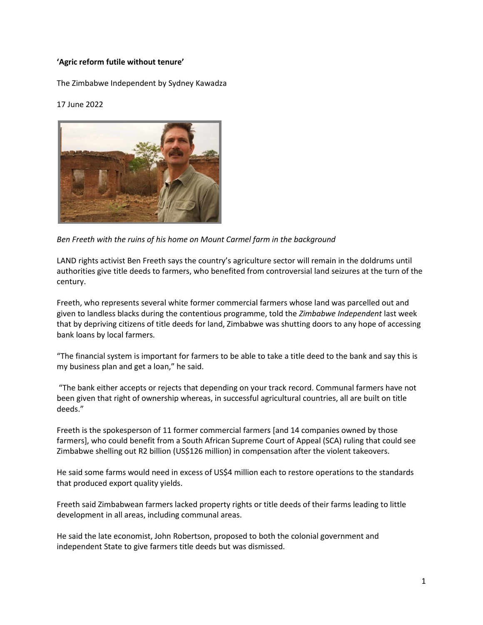## **'Agric reform futile without tenure'**

[The Zimbabwe Independent](https://www.theindependent.co.zw/author/mubeauty8gmail-com/) by Sydney Kawadza

## 17 June 202[2](https://api.whatsapp.com/send?text=%E2%80%98Agric+reform+futile+without+tenure%E2%80%99%20%0A%0A%20https://www.theindependent.co.zw/2022/06/17/agric-reform-futile-without-tenure/)



*Ben Freeth with the ruins of his home on Mount Carmel farm in the background*

LAND rights activist Ben Freeth says the country's agriculture sector will remain in the doldrums until authorities give title deeds to farmers, who benefited from controversial land seizures at the turn of the century.

Freeth, who represents several white former commercial farmers whose land was parcelled out and given to landless blacks during the contentious programme, told the *Zimbabwe Independent* last week that by depriving citizens of title deeds for land, Zimbabwe was shutting doors to any hope of accessing bank loans by local farmers.

"The financial system is important for farmers to be able to take a title deed to the bank and say this is my business plan and get a loan," he said.

"The bank either accepts or rejects that depending on your track record. Communal farmers have not been given that right of ownership whereas, in successful agricultural countries, all are built on title deeds."

Freeth is the spokesperson of 11 former commercial farmers [and 14 companies owned by those farmers], who could benefit from a South African Supreme Court of Appeal (SCA) ruling that could see Zimbabwe shelling out R2 billion (US\$126 million) in compensation after the violent takeovers.

He said some farms would need in excess of US\$4 million each to restore operations to the standards that produced export quality yields.

Freeth said Zimbabwean farmers lacked property rights or title deeds of their farms leading to little development in all areas, including communal areas.

He said the late economist, John Robertson, proposed to both the colonial government and independent State to give farmers title deeds but was dismissed.